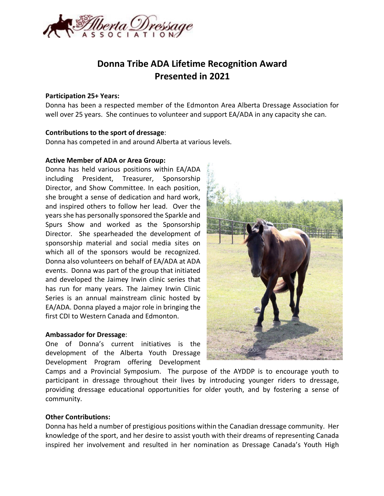

# **Donna Tribe ADA Lifetime Recognition Award Presented in 2021**

### **Participation 25+ Years:**

Donna has been a respected member of the Edmonton Area Alberta Dressage Association for well over 25 years. She continues to volunteer and support EA/ADA in any capacity she can.

# **Contributions to the sport of dressage**:

Donna has competed in and around Alberta at various levels.

# **Active Member of ADA or Area Group:**

Donna has held various positions within EA/ADA including President, Treasurer, Sponsorship Director, and Show Committee. In each position, she brought a sense of dedication and hard work, and inspired others to follow her lead. Over the years she has personally sponsored the Sparkle and Spurs Show and worked as the Sponsorship Director. She spearheaded the development of sponsorship material and social media sites on which all of the sponsors would be recognized. Donna also volunteers on behalf of EA/ADA at ADA events. Donna was part of the group that initiated and developed the Jaimey Irwin clinic series that has run for many years. The Jaimey Irwin Clinic Series is an annual mainstream clinic hosted by EA/ADA. Donna played a major role in bringing the first CDI to Western Canada and Edmonton.

### **Ambassador for Dressage**:

One of Donna's current initiatives is the development of the Alberta Youth Dressage Development Program offering Development



Camps and a Provincial Symposium. The purpose of the AYDDP is to encourage youth to participant in dressage throughout their lives by introducing younger riders to dressage, providing dressage educational opportunities for older youth, and by fostering a sense of community.

# **Other Contributions:**

Donna has held a number of prestigious positions within the Canadian dressage community. Her knowledge of the sport, and her desire to assist youth with their dreams of representing Canada inspired her involvement and resulted in her nomination as Dressage Canada's Youth High